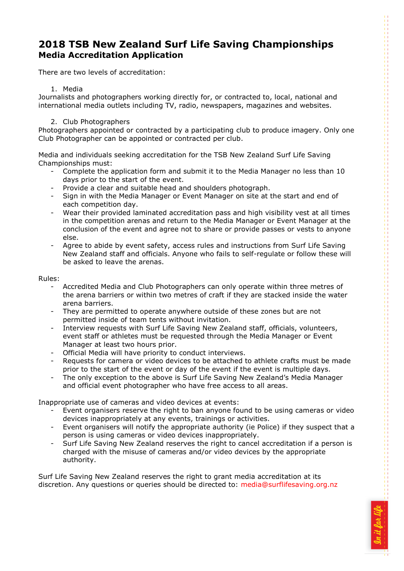## **2018 TSB New Zealand Surf Life Saving Championships Media Accreditation Application**

There are two levels of accreditation:

### 1. Media

Journalists and photographers working directly for, or contracted to, local, national and international media outlets including TV, radio, newspapers, magazines and websites.

### 2. Club Photographers

Photographers appointed or contracted by a participating club to produce imagery. Only one Club Photographer can be appointed or contracted per club.

Media and individuals seeking accreditation for the TSB New Zealand Surf Life Saving Championships must:

- Complete the application form and submit it to the Media Manager no less than 10 days prior to the start of the event.
- Provide a clear and suitable head and shoulders photograph.
- Sign in with the Media Manager or Event Manager on site at the start and end of each competition day.
- Wear their provided laminated accreditation pass and high visibility vest at all times in the competition arenas and return to the Media Manager or Event Manager at the conclusion of the event and agree not to share or provide passes or vests to anyone else.
- Agree to abide by event safety, access rules and instructions from Surf Life Saving New Zealand staff and officials. Anyone who fails to self-regulate or follow these will be asked to leave the arenas.

#### Rules:

- Accredited Media and Club Photographers can only operate within three metres of the arena barriers or within two metres of craft if they are stacked inside the water arena barriers.
- They are permitted to operate anywhere outside of these zones but are not permitted inside of team tents without invitation.
- Interview requests with Surf Life Saving New Zealand staff, officials, volunteers, event staff or athletes must be requested through the Media Manager or Event Manager at least two hours prior.
- Official Media will have priority to conduct interviews.<br>- Requests for camera or video devices to be attached to
- Requests for camera or video devices to be attached to athlete crafts must be made prior to the start of the event or day of the event if the event is multiple days.
- The only exception to the above is Surf Life Saving New Zealand's Media Manager and official event photographer who have free access to all areas.

Inappropriate use of cameras and video devices at events:

- Event organisers reserve the right to ban anyone found to be using cameras or video devices inappropriately at any events, trainings or activities.
- Event organisers will notify the appropriate authority (ie Police) if they suspect that a person is using cameras or video devices inappropriately.
- Surf Life Saving New Zealand reserves the right to cancel accreditation if a person is charged with the misuse of cameras and/or video devices by the appropriate authority.

Surf Life Saving New Zealand reserves the right to grant media accreditation at its discretion. Any questions or queries should be directed to: [media@surflifesaving.org.nz](mailto:media@surflifesaving.org.nz?subject=ERCs%20media%20accreditation%20enquiry)